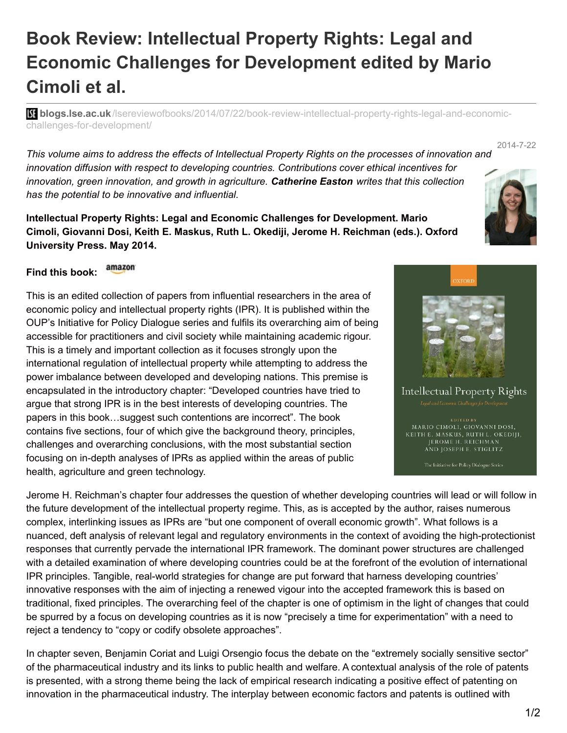## **Book Review: Intellectual Property Rights: Legal and Economic Challenges for Development edited by Mario Cimoli et al.**

**bli blogs.lse.ac.uk**[/lsereviewofbooks/2014/07/22/book-review-intellectual-property-rights-legal-and-economic](http://blogs.lse.ac.uk/lsereviewofbooks/2014/07/22/book-review-intellectual-property-rights-legal-and-economic-challenges-for-development/)challenges-for-development/

This volume aims to address the effects of Intellectual Property Rights on the processes of innovation and *innovation diffusion with respect to developing countries. Contributions cover ethical incentives for innovation, green innovation, and growth in agriculture. Catherine Easton writes that this collection has the potential to be innovative and influential.*

**Intellectual Property Rights: Legal and Economic Challenges for Development. Mario Cimoli, Giovanni Dosi, Keith E. Maskus, Ruth L. Okediji, Jerome H. Reichman (eds.). Oxford University Press. May 2014.**

## amazon **Find this book:**

This is an edited collection of papers from influential researchers in the area of economic policy and intellectual property rights (IPR). It is published within the OUP's Initiative for Policy Dialogue series and fulfils its overarching aim of being accessible for practitioners and civil society while maintaining academic rigour. This is a timely and important collection as it focuses strongly upon the international regulation of intellectual property while attempting to address the power imbalance between developed and developing nations. This premise is encapsulated in the introductory chapter: "Developed countries have tried to argue that strong IPR is in the best interests of developing countries. The papers in this book…suggest such contentions are incorrect". The book contains five sections, four of which give the background theory, principles, challenges and overarching conclusions, with the most substantial section focusing on in-depth analyses of IPRs as applied within the areas of public health, agriculture and green technology.

Jerome H. Reichman's chapter four addresses the question of whether developing countries will lead or will follow in the future development of the intellectual property regime. This, as is accepted by the author, raises numerous complex, interlinking issues as IPRs are "but one component of overall economic growth". What follows is a nuanced, deft analysis of relevant legal and regulatory environments in the context of avoiding the high-protectionist responses that currently pervade the international IPR framework. The dominant power structures are challenged with a detailed examination of where developing countries could be at the forefront of the evolution of international IPR principles. Tangible, real-world strategies for change are put forward that harness developing countries' innovative responses with the aim of injecting a renewed vigour into the accepted framework this is based on traditional, fixed principles. The overarching feel of the chapter is one of optimism in the light of changes that could be spurred by a focus on developing countries as it is now "precisely a time for experimentation" with a need to reject a tendency to "copy or codify obsolete approaches".

In chapter seven, Benjamin Coriat and Luigi Orsengio focus the debate on the "extremely socially sensitive sector" of the pharmaceutical industry and its links to public health and welfare. A contextual analysis of the role of patents is presented, with a strong theme being the lack of empirical research indicating a positive effect of patenting on innovation in the pharmaceutical industry. The interplay between economic factors and patents is outlined with



2014-7-22



**Intellectual Property Rights** 

MARIO CIMOLI, GIOVANNI DOSI, KEITH E. MASKUS, RUTH L. OKEDIJI, JEROME H. REICHMAN AND JOSEPH E. STIGLITZ

The Initiative for Policy Dialogue Series